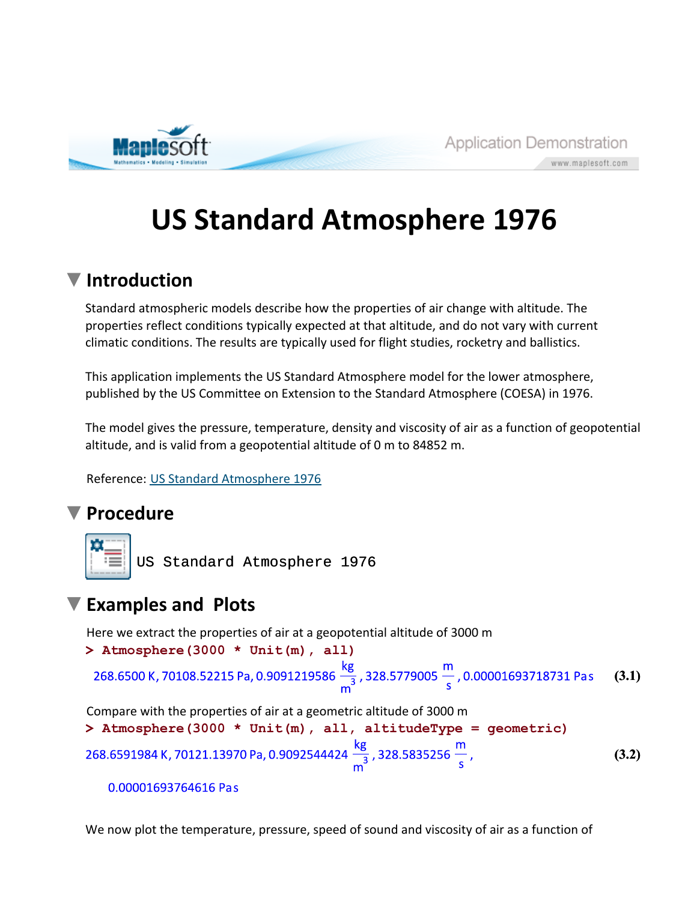

www.maplesoft.com

## **US Standard Atmosphere 1976**

## **Introduction**

Standard atmospheric models describe how the properties of air change with altitude. The properties reflect conditions typically expected at that altitude, and do not vary with current climatic conditions. The results are typically used for flight studies, rocketry and ballistics.

This application implements the US Standard Atmosphere model for the lower atmosphere, published by the US Committee on Extension to the Standard Atmosphere (COESA) in 1976.

The model gives the pressure, temperature, density and viscosity of air as a function of geopotential altitude, and is valid from a geopotential altitude of 0 m to 84852 m.

Reference: US Standard Atmosphere 1976

## **Procedure**



US Standard Atmosphere 1976

## **Examples and Plots**

Here we extract the properties of air at a geopotential altitude of 3000 m

```
(3.1)
> 
Atmosphere(3000 * Unit(m), all)
```
Compare with the properties of air at a geometric altitude of 3000 m

**> Atmosphere(3000 \* Unit(m), all, altitudeType = geometric)** 268.6591984 K, 70121.13970 Pa, 0.9092544424  $\frac{kg}{m^3}$ , 328.5835256  $\frac{m}{s}$ , **(3.2)**

```
0.00001693764616 Pas
```
We now plot the temperature, pressure, speed of sound and viscosity of air as a function of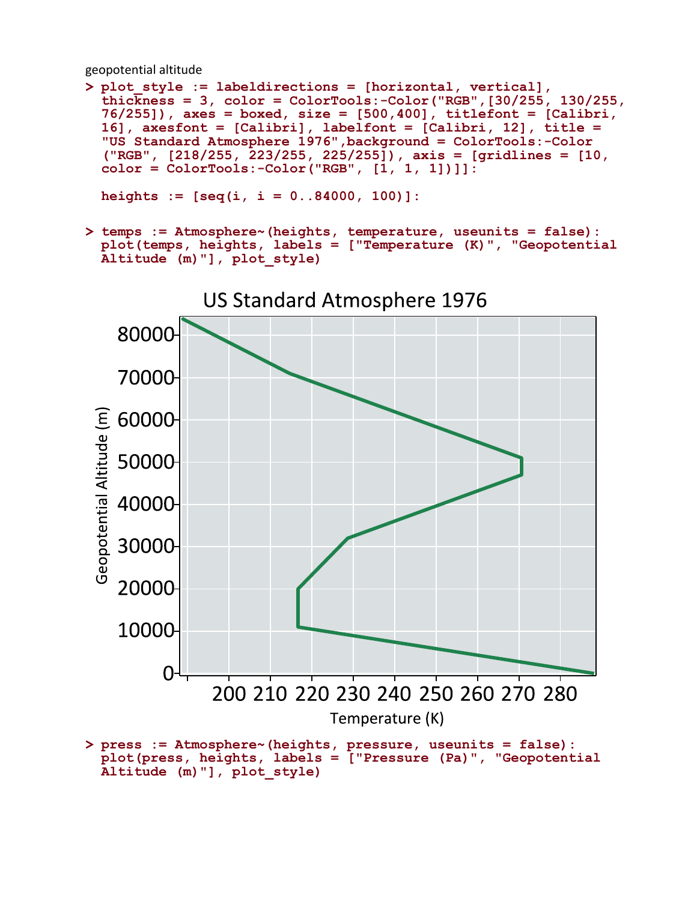geopotential altitude

```
> 
plot_style := labeldirections = [horizontal, vertical], 
 thickness = 3, color = ColorTools:-Color("RGB",[30/255, 130/255,
 76/255]), axes = boxed, size = [500,400], titlefont = [Calibri, 
 16], axesfont = [Calibri], labelfont = [Calibri, 12], title = 
  "US Standard Atmosphere 1976",background = ColorTools:-Color
  ("RGB", [218/255, 223/255, 225/255]), axis = [gridlines = [10, 
 color = ColorTools:-Color("RGB", [1, 1, 1])]]:
```
**heights := [seq(i, i = 0..84000, 100)]:**

**> temps := Atmosphere~(heights, temperature, useunits = false): plot(temps, heights, labels = ["Temperature (K)", "Geopotential Altitude (m)"], plot\_style)**



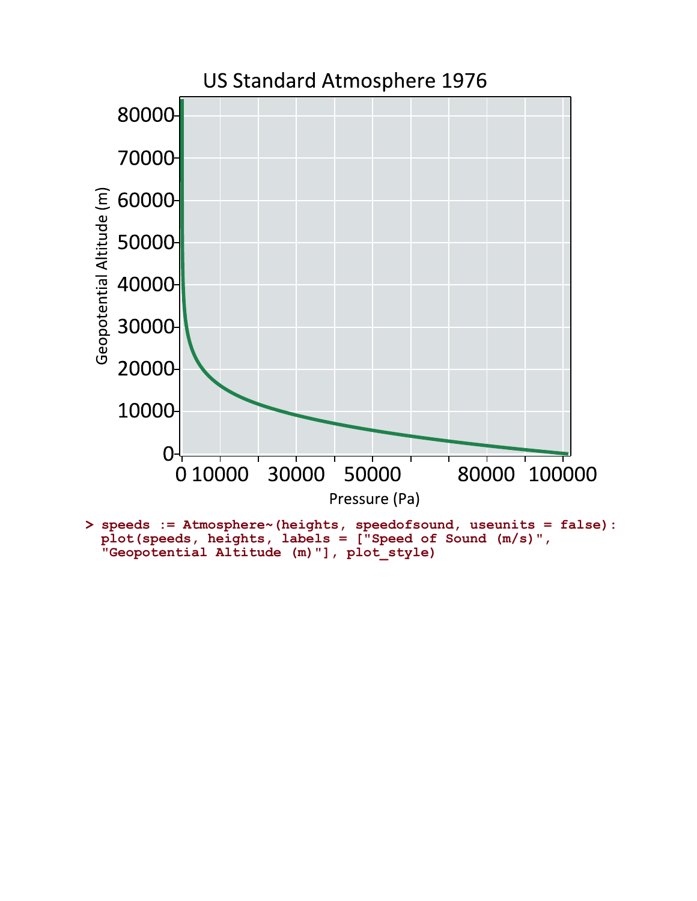

**> speeds := Atmosphere~(heights, speedofsound, useunits = false): plot(speeds, heights, labels = ["Speed of Sound (m/s)", "Geopotential Altitude (m)"], plot\_style)**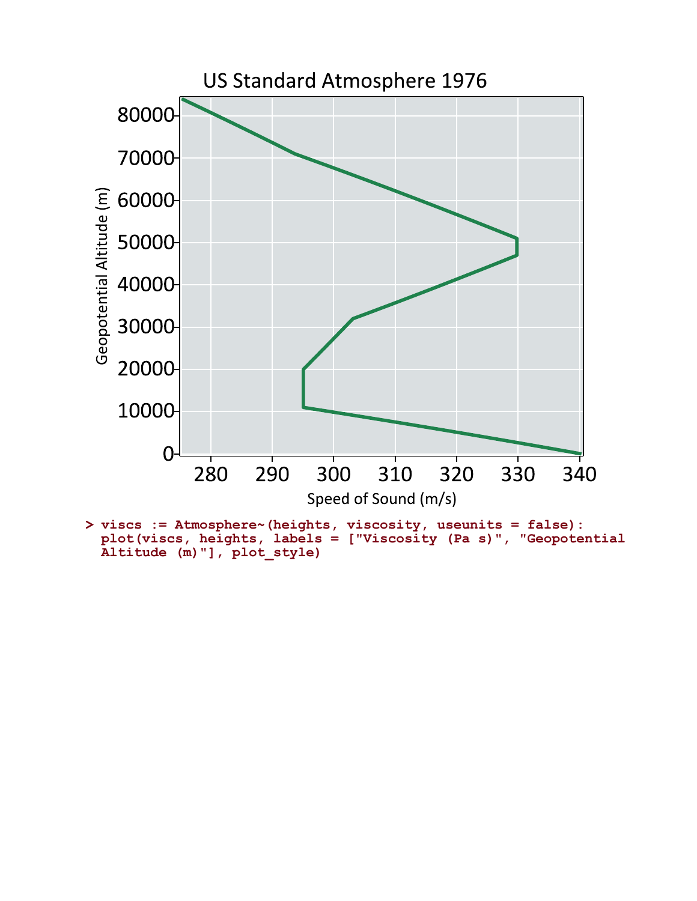

**> viscs := Atmosphere~(heights, viscosity, useunits = false): plot(viscs, heights, labels = ["Viscosity (Pa s)", "Geopotential Altitude (m)"], plot\_style)**